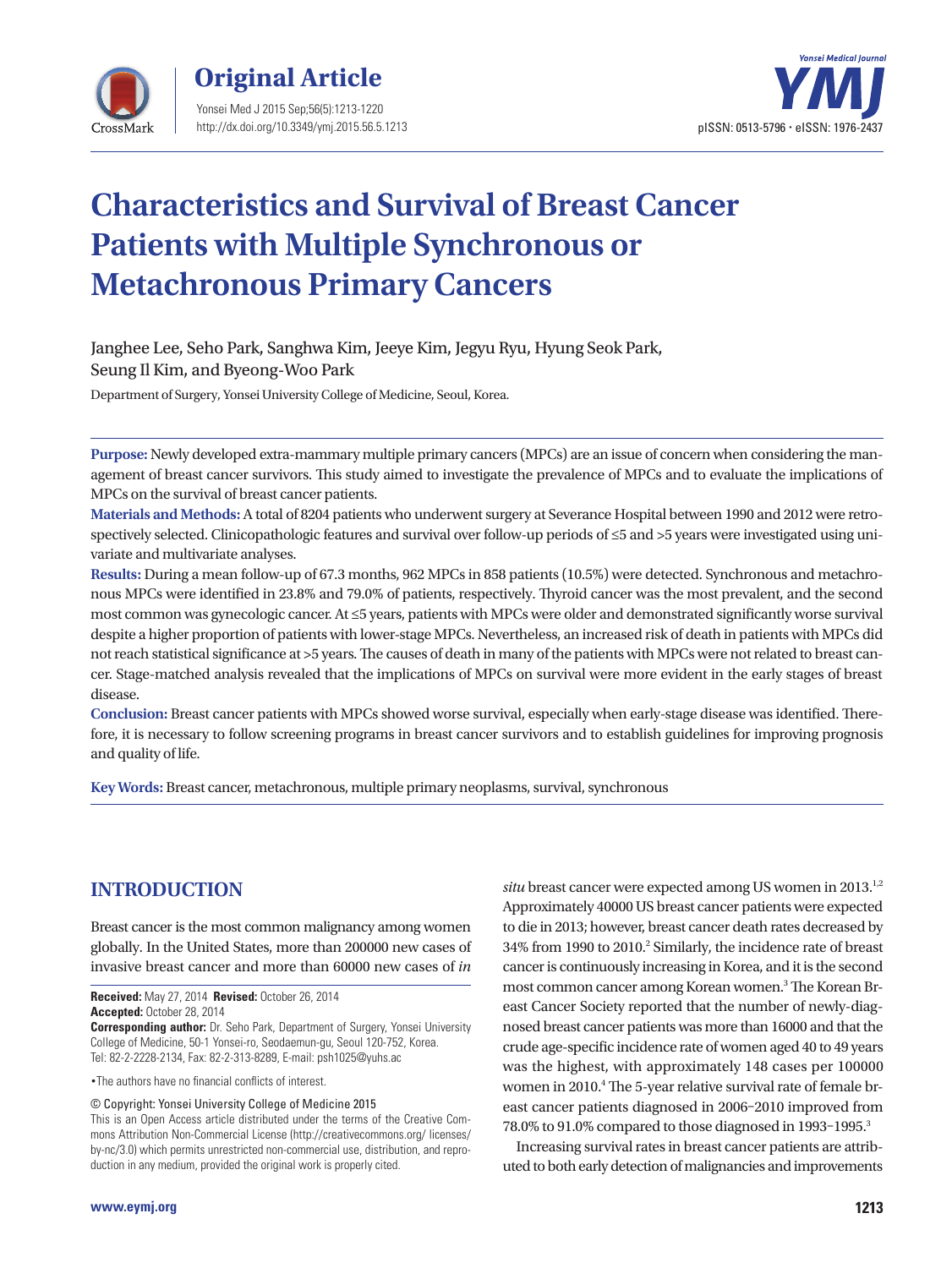



# **Characteristics and Survival of Breast Cancer Patients with Multiple Synchronous or Metachronous Primary Cancers**

Janghee Lee, Seho Park, Sanghwa Kim, Jeeye Kim, Jegyu Ryu, Hyung Seok Park, Seung Il Kim, and Byeong-Woo Park

Department of Surgery, Yonsei University College of Medicine, Seoul, Korea.

**Purpose:** Newly developed extra-mammary multiple primary cancers (MPCs) are an issue of concern when considering the management of breast cancer survivors. This study aimed to investigate the prevalence of MPCs and to evaluate the implications of MPCs on the survival of breast cancer patients.

**Materials and Methods:** A total of 8204 patients who underwent surgery at Severance Hospital between 1990 and 2012 were retrospectively selected. Clinicopathologic features and survival over follow-up periods of ≤5 and >5 years were investigated using univariate and multivariate analyses.

**Results:** During a mean follow-up of 67.3 months, 962 MPCs in 858 patients (10.5%) were detected. Synchronous and metachronous MPCs were identified in 23.8% and 79.0% of patients, respectively. Thyroid cancer was the most prevalent, and the second most common was gynecologic cancer. At ≤5 years, patients with MPCs were older and demonstrated significantly worse survival despite a higher proportion of patients with lower-stage MPCs. Nevertheless, an increased risk of death in patients with MPCs did not reach statistical significance at >5 years. The causes of death in many of the patients with MPCs were not related to breast cancer. Stage-matched analysis revealed that the implications of MPCs on survival were more evident in the early stages of breast disease.

**Conclusion:** Breast cancer patients with MPCs showed worse survival, especially when early-stage disease was identified. Therefore, it is necessary to follow screening programs in breast cancer survivors and to establish guidelines for improving prognosis and quality of life.

**Key Words:** Breast cancer, metachronous, multiple primary neoplasms, survival, synchronous

### **INTRODUCTION**

Breast cancer is the most common malignancy among women globally. In the United States, more than 200000 new cases of invasive breast cancer and more than 60000 new cases of *in* 

**Received:** May 27, 2014 **Revised:** October 26, 2014 **Accepted:** October 28, 2014

**Corresponding author:** Dr. Seho Park, Department of Surgery, Yonsei University College of Medicine, 50-1 Yonsei-ro, Seodaemun-gu, Seoul 120-752, Korea. Tel: 82-2-2228-2134, Fax: 82-2-313-8289, E-mail: psh1025@yuhs.ac

•The authors have no financial conflicts of interest.

© Copyright: Yonsei University College of Medicine 2015

This is an Open Access article distributed under the terms of the Creative Commons Attribution Non-Commercial License (http://creativecommons.org/ licenses/ by-nc/3.0) which permits unrestricted non-commercial use, distribution, and reproduction in any medium, provided the original work is properly cited.

*situ* breast cancer were expected among US women in 2013.<sup>1,2</sup> Approximately 40000 US breast cancer patients were expected to die in 2013; however, breast cancer death rates decreased by 34% from 1990 to 2010.<sup>2</sup> Similarly, the incidence rate of breast cancer is continuously increasing in Korea, and it is the second most common cancer among Korean women.<sup>3</sup> The Korean Breast Cancer Society reported that the number of newly-diagnosed breast cancer patients was more than 16000 and that the crude age-specific incidence rate of women aged 40 to 49 years was the highest, with approximately 148 cases per 100000 women in 2010.<sup>4</sup> The 5-year relative survival rate of female breast cancer patients diagnosed in 2006–2010 improved from 78.0% to 91.0% compared to those diagnosed in 1993–1995.3

Increasing survival rates in breast cancer patients are attributed to both early detection of malignancies and improvements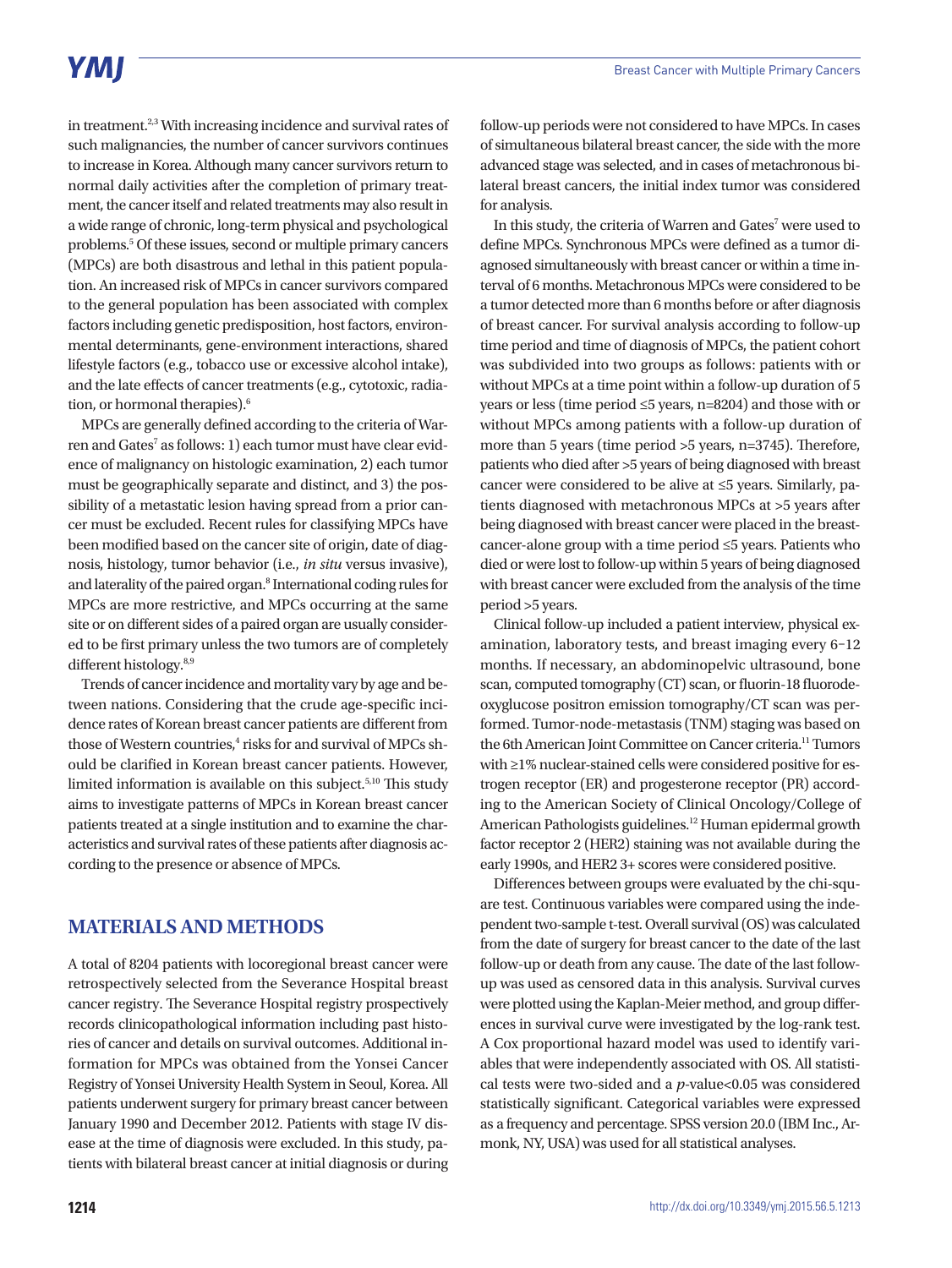## **YMI**

in treatment.<sup>2,3</sup> With increasing incidence and survival rates of such malignancies, the number of cancer survivors continues to increase in Korea. Although many cancer survivors return to normal daily activities after the completion of primary treatment, the cancer itself and related treatments may also result in a wide range of chronic, long-term physical and psychological problems.5 Of these issues, second or multiple primary cancers (MPCs) are both disastrous and lethal in this patient population. An increased risk of MPCs in cancer survivors compared to the general population has been associated with complex factors including genetic predisposition, host factors, environmental determinants, gene-environment interactions, shared lifestyle factors (e.g., tobacco use or excessive alcohol intake), and the late effects of cancer treatments (e.g., cytotoxic, radiation, or hormonal therapies).<sup>6</sup>

MPCs are generally defined according to the criteria of Warren and Gates<sup>7</sup> as follows: 1) each tumor must have clear evidence of malignancy on histologic examination, 2) each tumor must be geographically separate and distinct, and 3) the possibility of a metastatic lesion having spread from a prior cancer must be excluded. Recent rules for classifying MPCs have been modified based on the cancer site of origin, date of diagnosis, histology, tumor behavior (i.e., *in situ* versus invasive), and laterality of the paired organ.<sup>8</sup> International coding rules for MPCs are more restrictive, and MPCs occurring at the same site or on different sides of a paired organ are usually considered to be first primary unless the two tumors are of completely different histology.<sup>8,9</sup>

Trends of cancer incidence and mortality vary by age and between nations. Considering that the crude age-specific incidence rates of Korean breast cancer patients are different from those of Western countries,<sup>4</sup> risks for and survival of MPCs should be clarified in Korean breast cancer patients. However, limited information is available on this subject.<sup>5,10</sup> This study aims to investigate patterns of MPCs in Korean breast cancer patients treated at a single institution and to examine the characteristics and survival rates of these patients after diagnosis according to the presence or absence of MPCs.

#### **MATERIALS AND METHODS**

A total of 8204 patients with locoregional breast cancer were retrospectively selected from the Severance Hospital breast cancer registry. The Severance Hospital registry prospectively records clinicopathological information including past histories of cancer and details on survival outcomes. Additional information for MPCs was obtained from the Yonsei Cancer Registry of Yonsei University Health System in Seoul, Korea. All patients underwent surgery for primary breast cancer between January 1990 and December 2012. Patients with stage IV disease at the time of diagnosis were excluded. In this study, patients with bilateral breast cancer at initial diagnosis or during

follow-up periods were not considered to have MPCs. In cases of simultaneous bilateral breast cancer, the side with the more advanced stage was selected, and in cases of metachronous bilateral breast cancers, the initial index tumor was considered for analysis.

In this study, the criteria of Warren and Gates<sup>7</sup> were used to define MPCs. Synchronous MPCs were defined as a tumor diagnosed simultaneously with breast cancer or within a time interval of 6 months. Metachronous MPCs were considered to be a tumor detected more than 6 months before or after diagnosis of breast cancer. For survival analysis according to follow-up time period and time of diagnosis of MPCs, the patient cohort was subdivided into two groups as follows: patients with or without MPCs at a time point within a follow-up duration of 5 years or less (time period ≤5 years, n=8204) and those with or without MPCs among patients with a follow-up duration of more than 5 years (time period >5 years, n=3745). Therefore, patients who died after >5 years of being diagnosed with breast cancer were considered to be alive at ≤5 years. Similarly, patients diagnosed with metachronous MPCs at >5 years after being diagnosed with breast cancer were placed in the breastcancer-alone group with a time period ≤5 years. Patients who died or were lost to follow-up within 5 years of being diagnosed with breast cancer were excluded from the analysis of the time period >5 years.

Clinical follow-up included a patient interview, physical examination, laboratory tests, and breast imaging every 6–12 months. If necessary, an abdominopelvic ultrasound, bone scan, computed tomography (CT) scan, or fluorin-18 fluorodeoxyglucose positron emission tomography/CT scan was performed. Tumor-node-metastasis (TNM) staging was based on the 6th American Joint Committee on Cancer criteria.11 Tumors with ≥1% nuclear-stained cells were considered positive for estrogen receptor (ER) and progesterone receptor (PR) according to the American Society of Clinical Oncology/College of American Pathologists guidelines.<sup>12</sup> Human epidermal growth factor receptor 2 (HER2) staining was not available during the early 1990s, and HER2 3+ scores were considered positive.

Differences between groups were evaluated by the chi-square test. Continuous variables were compared using the independent two-sample t-test. Overall survival (OS) was calculated from the date of surgery for breast cancer to the date of the last follow-up or death from any cause. The date of the last followup was used as censored data in this analysis. Survival curves were plotted using the Kaplan-Meier method, and group differences in survival curve were investigated by the log-rank test. A Cox proportional hazard model was used to identify variables that were independently associated with OS. All statistical tests were two-sided and a *p*-value<0.05 was considered statistically significant. Categorical variables were expressed as a frequency and percentage. SPSS version 20.0 (IBM Inc., Armonk, NY, USA) was used for all statistical analyses.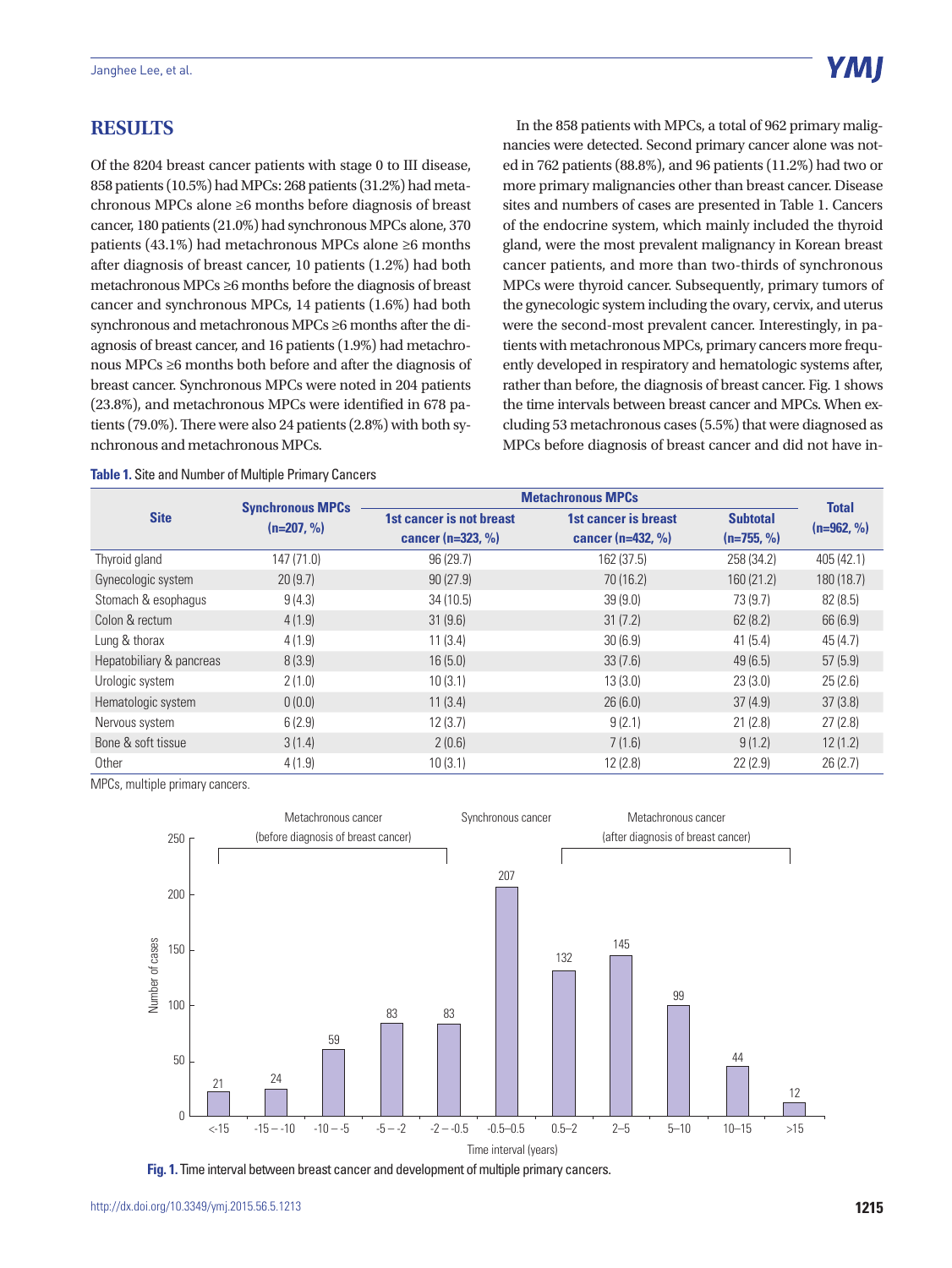#### **RESULTS**

Of the 8204 breast cancer patients with stage 0 to III disease, 858 patients (10.5%) had MPCs: 268 patients (31.2%) had metachronous MPCs alone ≥6 months before diagnosis of breast cancer, 180 patients (21.0%) had synchronous MPCs alone, 370 patients (43.1%) had metachronous MPCs alone ≥6 months after diagnosis of breast cancer, 10 patients (1.2%) had both metachronous MPCs ≥6 months before the diagnosis of breast cancer and synchronous MPCs, 14 patients (1.6%) had both synchronous and metachronous MPCs ≥6 months after the diagnosis of breast cancer, and 16 patients (1.9%) had metachronous MPCs ≥6 months both before and after the diagnosis of breast cancer. Synchronous MPCs were noted in 204 patients (23.8%), and metachronous MPCs were identified in 678 patients (79.0%). There were also 24 patients (2.8%) with both synchronous and metachronous MPCs.

**Table 1.** Site and Number of Multiple Primary Cancers

In the 858 patients with MPCs, a total of 962 primary malignancies were detected. Second primary cancer alone was noted in 762 patients (88.8%), and 96 patients (11.2%) had two or more primary malignancies other than breast cancer. Disease sites and numbers of cases are presented in Table 1. Cancers of the endocrine system, which mainly included the thyroid gland, were the most prevalent malignancy in Korean breast cancer patients, and more than two-thirds of synchronous MPCs were thyroid cancer. Subsequently, primary tumors of the gynecologic system including the ovary, cervix, and uterus were the second-most prevalent cancer. Interestingly, in patients with metachronous MPCs, primary cancers more frequently developed in respiratory and hematologic systems after, rather than before, the diagnosis of breast cancer. Fig. 1 shows the time intervals between breast cancer and MPCs. When excluding 53 metachronous cases (5.5%) that were diagnosed as MPCs before diagnosis of breast cancer and did not have in-

| <b>Site</b>              | <b>Synchronous MPCs</b><br>$(n=207, %)$ | <b>Metachronous MPCs</b>                        | <b>Total</b>                                  |                                 |              |
|--------------------------|-----------------------------------------|-------------------------------------------------|-----------------------------------------------|---------------------------------|--------------|
|                          |                                         | 1st cancer is not breast<br>cancer $(n=323, %)$ | 1st cancer is breast<br>cancer ( $n=432, %$ ) | <b>Subtotal</b><br>$(n=755, %)$ | $(n=962, %)$ |
| Thyroid gland            | 147 (71.0)                              | 96(29.7)                                        | 162 (37.5)                                    | 258 (34.2)                      | 405 (42.1)   |
| Gynecologic system       | 20(9.7)                                 | 90(27.9)                                        | 70 (16.2)                                     | 160 (21.2)                      | 180 (18.7)   |
| Stomach & esophagus      | 9(4.3)                                  | 34(10.5)                                        | 39(9.0)                                       | 73 (9.7)                        | 82(8.5)      |
| Colon & rectum           | 4(1.9)                                  | 31(9.6)                                         | 31(7.2)                                       | 62(8.2)                         | 66 (6.9)     |
| Lung & thorax            | 4(1.9)                                  | 11(3.4)                                         | 30(6.9)                                       | 41(5.4)                         | 45(4.7)      |
| Hepatobiliary & pancreas | 8(3.9)                                  | 16(5.0)                                         | 33(7.6)                                       | 49(6.5)                         | 57(5.9)      |
| Urologic system          | 2(1.0)                                  | 10(3.1)                                         | 13(3.0)                                       | 23(3.0)                         | 25(2.6)      |
| Hematologic system       | 0(0.0)                                  | 11(3.4)                                         | 26(6.0)                                       | 37(4.9)                         | 37(3.8)      |
| Nervous system           | 6(2.9)                                  | 12(3.7)                                         | 9(2.1)                                        | 21(2.8)                         | 27(2.8)      |
| Bone & soft tissue       | 3(1.4)                                  | 2(0.6)                                          | 7(1.6)                                        | 9(1.2)                          | 12(1.2)      |
| Other                    | 4(1.9)                                  | 10(3.1)                                         | 12(2.8)                                       | 22(2.9)                         | 26(2.7)      |

MPCs, multiple primary cancers.



**Fig. 1.** Time interval between breast cancer and development of multiple primary cancers.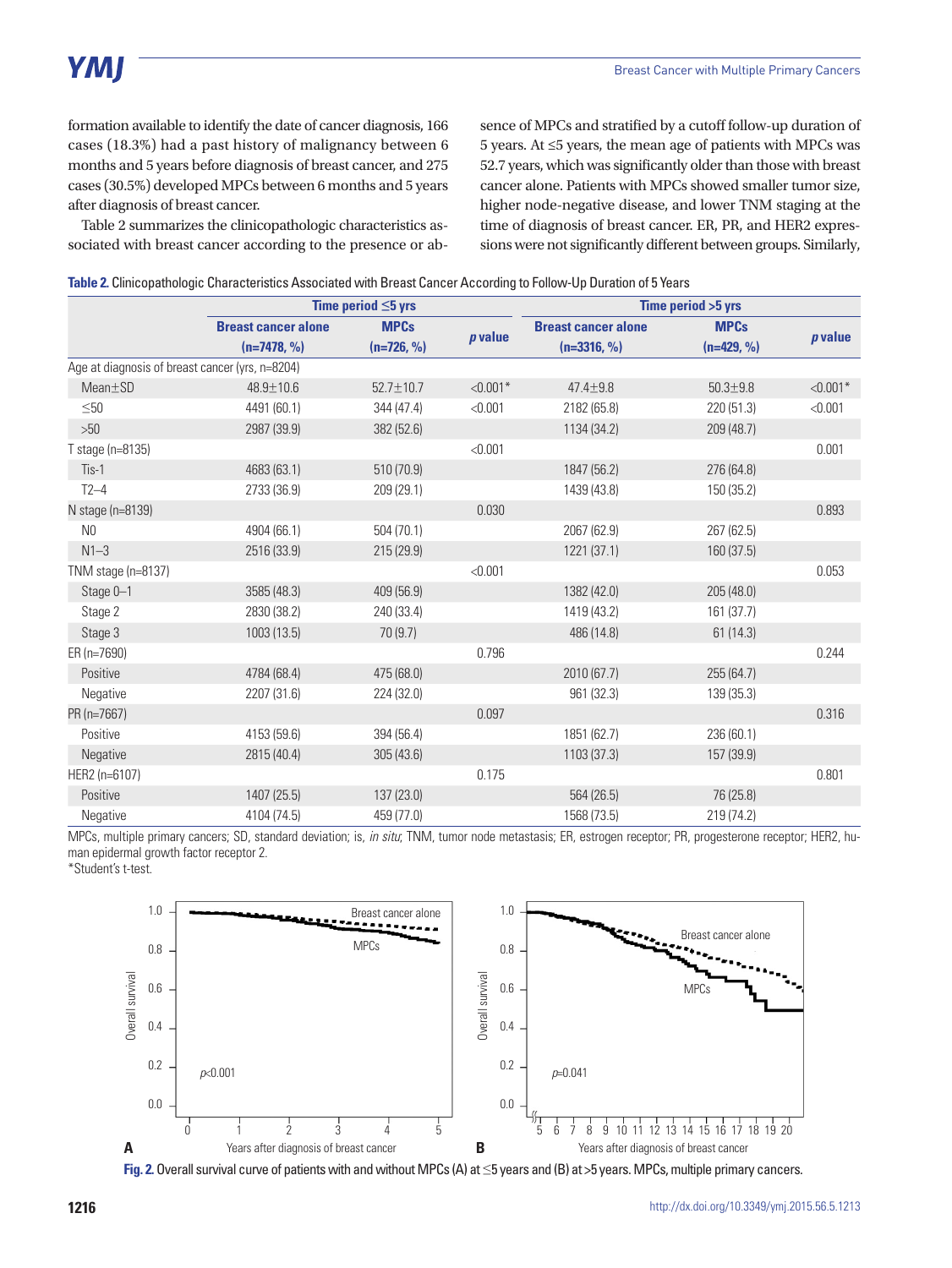formation available to identify the date of cancer diagnosis, 166 cases (18.3%) had a past history of malignancy between 6 months and 5 years before diagnosis of breast cancer, and 275 cases (30.5%) developed MPCs between 6 months and 5 years after diagnosis of breast cancer.

Table 2 summarizes the clinicopathologic characteristics associated with breast cancer according to the presence or absence of MPCs and stratified by a cutoff follow-up duration of 5 years. At ≤5 years, the mean age of patients with MPCs was 52.7 years, which was significantly older than those with breast cancer alone. Patients with MPCs showed smaller tumor size, higher node-negative disease, and lower TNM staging at the time of diagnosis of breast cancer. ER, PR, and HER2 expressions were not significantly different between groups. Similarly,

|  |  |  | Table 2. Clinicopathologic Characteristics Associated with Breast Cancer According to Follow-Up Duration of 5 Years |  |
|--|--|--|---------------------------------------------------------------------------------------------------------------------|--|
|  |  |  |                                                                                                                     |  |

|                                                 | Time period $\leq$ 5 yrs                    |                             |                | Time period > 5 yrs                         |                             |                |
|-------------------------------------------------|---------------------------------------------|-----------------------------|----------------|---------------------------------------------|-----------------------------|----------------|
|                                                 | <b>Breast cancer alone</b><br>$(n=7478, %)$ | <b>MPCs</b><br>$(n=726, %)$ | <i>p</i> value | <b>Breast cancer alone</b><br>$(n=3316, %)$ | <b>MPCs</b><br>$(n=429, %)$ | <i>p</i> value |
| Age at diagnosis of breast cancer (yrs, n=8204) |                                             |                             |                |                                             |                             |                |
| $Mean \pm SD$                                   | 48.9±10.6                                   | $52.7 \pm 10.7$             | $< 0.001*$     | $47.4 \pm 9.8$                              | $50.3 + 9.8$                | $< 0.001*$     |
| $\leq 50$                                       | 4491 (60.1)                                 | 344 (47.4)                  | < 0.001        | 2182 (65.8)                                 | 220 (51.3)                  | < 0.001        |
| >50                                             | 2987 (39.9)                                 | 382 (52.6)                  |                | 1134 (34.2)                                 | 209 (48.7)                  |                |
| T stage (n=8135)                                |                                             |                             | < 0.001        |                                             |                             | 0.001          |
| Tis-1                                           | 4683 (63.1)                                 | 510 (70.9)                  |                | 1847 (56.2)                                 | 276 (64.8)                  |                |
| $T2-4$                                          | 2733 (36.9)                                 | 209 (29.1)                  |                | 1439 (43.8)                                 | 150 (35.2)                  |                |
| N stage (n=8139)                                |                                             |                             | 0.030          |                                             |                             | 0.893          |
| N <sub>0</sub>                                  | 4904 (66.1)                                 | 504 (70.1)                  |                | 2067 (62.9)                                 | 267 (62.5)                  |                |
| $N1-3$                                          | 2516 (33.9)                                 | 215(29.9)                   |                | 1221 (37.1)                                 | 160 (37.5)                  |                |
| TNM stage (n=8137)                              |                                             |                             | < 0.001        |                                             |                             | 0.053          |
| Stage 0-1                                       | 3585 (48.3)                                 | 409 (56.9)                  |                | 1382 (42.0)                                 | 205(48.0)                   |                |
| Stage 2                                         | 2830 (38.2)                                 | 240 (33.4)                  |                | 1419 (43.2)                                 | 161(37.7)                   |                |
| Stage 3                                         | 1003 (13.5)                                 | 70(9.7)                     |                | 486 (14.8)                                  | 61(14.3)                    |                |
| ER (n=7690)                                     |                                             |                             | 0.796          |                                             |                             | 0.244          |
| Positive                                        | 4784 (68.4)                                 | 475 (68.0)                  |                | 2010 (67.7)                                 | 255(64.7)                   |                |
| Negative                                        | 2207 (31.6)                                 | 224 (32.0)                  |                | 961 (32.3)                                  | 139 (35.3)                  |                |
| PR (n=7667)                                     |                                             |                             | 0.097          |                                             |                             | 0.316          |
| Positive                                        | 4153 (59.6)                                 | 394 (56.4)                  |                | 1851 (62.7)                                 | 236 (60.1)                  |                |
| Negative                                        | 2815 (40.4)                                 | 305(43.6)                   |                | 1103 (37.3)                                 | 157 (39.9)                  |                |
| HER2 (n=6107)                                   |                                             |                             | 0.175          |                                             |                             | 0.801          |
| Positive                                        | 1407 (25.5)                                 | 137(23.0)                   |                | 564 (26.5)                                  | 76 (25.8)                   |                |
| Negative                                        | 4104 (74.5)                                 | 459 (77.0)                  |                | 1568 (73.5)                                 | 219 (74.2)                  |                |

MPCs, multiple primary cancers; SD, standard deviation; is, *in situ*; TNM, tumor node metastasis; ER, estrogen receptor; PR, progesterone receptor; HER2, human epidermal growth factor receptor 2.

\*Student's t-test.



**Fig. 2.** Overall survival curve of patients with and without MPCs (A) at ≤5 years and (B) at >5 years. MPCs, multiple primary cancers.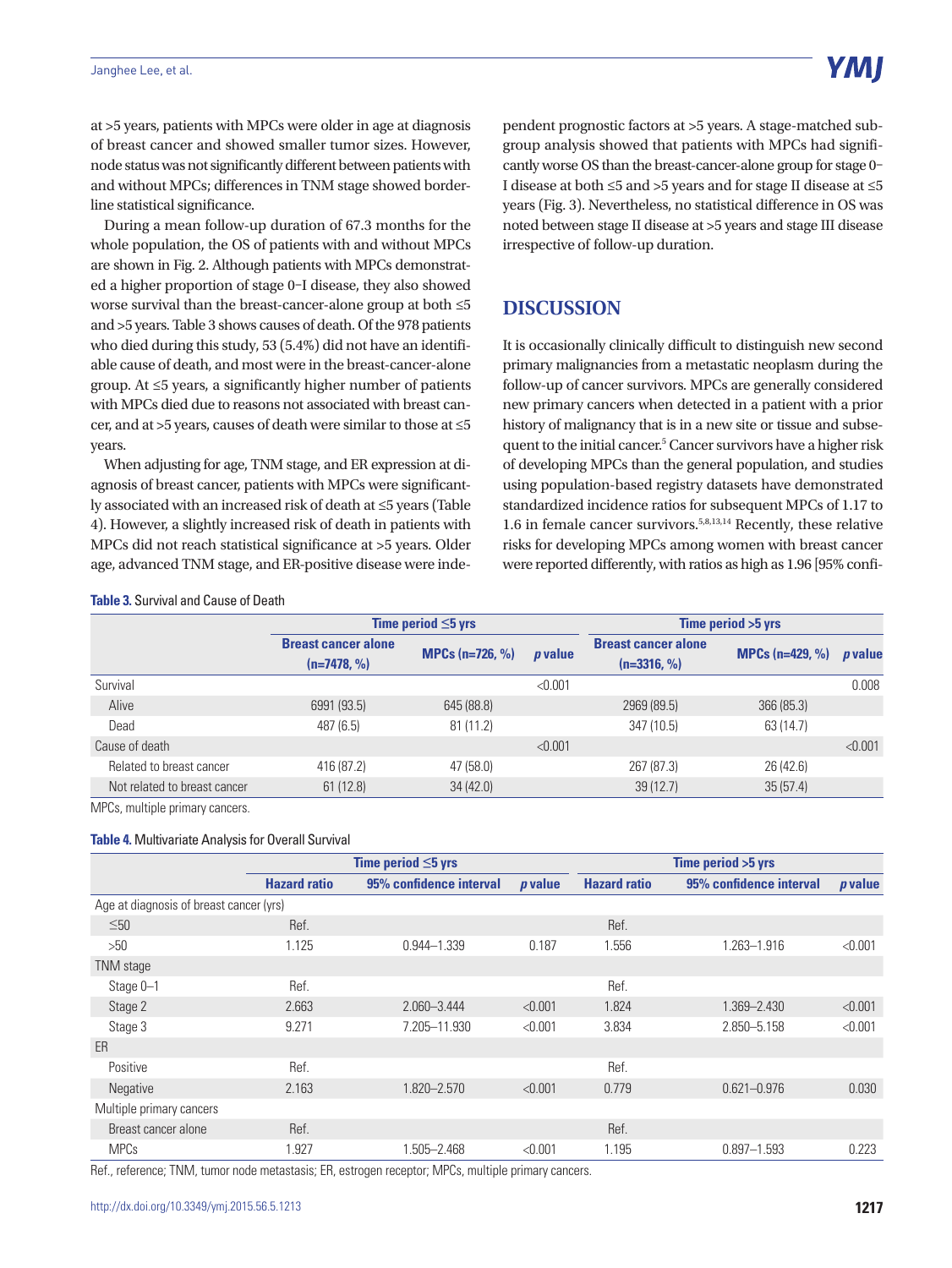at >5 years, patients with MPCs were older in age at diagnosis of breast cancer and showed smaller tumor sizes. However, node status was not significantly different between patients with and without MPCs; differences in TNM stage showed borderline statistical significance.

During a mean follow-up duration of 67.3 months for the whole population, the OS of patients with and without MPCs are shown in Fig. 2. Although patients with MPCs demonstrated a higher proportion of stage 0–I disease, they also showed worse survival than the breast-cancer-alone group at both ≤5 and >5 years. Table 3 shows causes of death. Of the 978 patients who died during this study, 53 (5.4%) did not have an identifiable cause of death, and most were in the breast-cancer-alone group. At ≤5 years, a significantly higher number of patients with MPCs died due to reasons not associated with breast cancer, and at >5 years, causes of death were similar to those at ≤5 years.

When adjusting for age, TNM stage, and ER expression at diagnosis of breast cancer, patients with MPCs were significantly associated with an increased risk of death at ≤5 years (Table 4). However, a slightly increased risk of death in patients with MPCs did not reach statistical significance at >5 years. Older age, advanced TNM stage, and ER-positive disease were independent prognostic factors at >5 years. A stage-matched subgroup analysis showed that patients with MPCs had significantly worse OS than the breast-cancer-alone group for stage 0– I disease at both ≤5 and >5 years and for stage II disease at ≤5 years (Fig. 3). Nevertheless, no statistical difference in OS was noted between stage II disease at >5 years and stage III disease irrespective of follow-up duration.

### **DISCUSSION**

It is occasionally clinically difficult to distinguish new second primary malignancies from a metastatic neoplasm during the follow-up of cancer survivors. MPCs are generally considered new primary cancers when detected in a patient with a prior history of malignancy that is in a new site or tissue and subsequent to the initial cancer.<sup>5</sup> Cancer survivors have a higher risk of developing MPCs than the general population, and studies using population-based registry datasets have demonstrated standardized incidence ratios for subsequent MPCs of 1.17 to 1.6 in female cancer survivors.5,8,13,14 Recently, these relative risks for developing MPCs among women with breast cancer were reported differently, with ratios as high as 1.96 [95% confi-

#### **Table 3.** Survival and Cause of Death

|                              | Time period $\leq$ 5 yrs                    |                                |                | Time period > 5 yrs                         |                            |                |  |
|------------------------------|---------------------------------------------|--------------------------------|----------------|---------------------------------------------|----------------------------|----------------|--|
|                              | <b>Breast cancer alone</b><br>$(n=7478, %)$ | <b>MPCs</b> ( $n=726$ , $\%$ ) | <i>p</i> value | <b>Breast cancer alone</b><br>$(n=3316, %)$ | <b>MPCs</b> ( $n=429, %$ ) | <i>p</i> value |  |
| Survival                     |                                             |                                | < 0.001        |                                             |                            | 0.008          |  |
| Alive                        | 6991 (93.5)                                 | 645 (88.8)                     |                | 2969 (89.5)                                 | 366 (85.3)                 |                |  |
| Dead                         | 487 (6.5)                                   | 81(11.2)                       |                | 347 (10.5)                                  | 63 (14.7)                  |                |  |
| Cause of death               |                                             |                                | < 0.001        |                                             |                            | < 0.001        |  |
| Related to breast cancer     | 416 (87.2)                                  | 47 (58.0)                      |                | 267 (87.3)                                  | 26 (42.6)                  |                |  |
| Not related to breast cancer | 61(12.8)                                    | 34(42.0)                       |                | 39(12.7)                                    | 35(57.4)                   |                |  |

MPCs, multiple primary cancers.

#### **Table 4.** Multivariate Analysis for Overall Survival

|                                         | Time period $\leq$ 5 yrs |                         |           |                     |                         |                |
|-----------------------------------------|--------------------------|-------------------------|-----------|---------------------|-------------------------|----------------|
|                                         | <b>Hazard ratio</b>      | 95% confidence interval | $p$ value | <b>Hazard ratio</b> | 95% confidence interval | <i>p</i> value |
| Age at diagnosis of breast cancer (yrs) |                          |                         |           |                     |                         |                |
| $\leq 50$                               | Ref.                     |                         |           | Ref.                |                         |                |
| >50                                     | 1.125                    | $0.944 - 1.339$         | 0.187     | 1.556               | 1.263-1.916             | < 0.001        |
| TNM stage                               |                          |                         |           |                     |                         |                |
| Stage 0-1                               | Ref.                     |                         |           | Ref.                |                         |                |
| Stage 2                                 | 2.663                    | 2.060-3.444             | < 0.001   | 1.824               | 1.369-2.430             | < 0.001        |
| Stage 3                                 | 9.271                    | 7.205-11.930            | < 0.001   | 3.834               | 2.850-5.158             | < 0.001        |
| ER                                      |                          |                         |           |                     |                         |                |
| Positive                                | Ref.                     |                         |           | Ref.                |                         |                |
| <b>Negative</b>                         | 2.163                    | 1.820 - 2.570           | < 0.001   | 0.779               | $0.621 - 0.976$         | 0.030          |
| Multiple primary cancers                |                          |                         |           |                     |                         |                |
| Breast cancer alone                     | Ref.                     |                         |           | Ref.                |                         |                |
| <b>MPCs</b>                             | 1.927                    | 1.505-2.468             | < 0.001   | 1.195               | $0.897 - 1.593$         | 0.223          |

Ref., reference; TNM, tumor node metastasis; ER, estrogen receptor; MPCs, multiple primary cancers.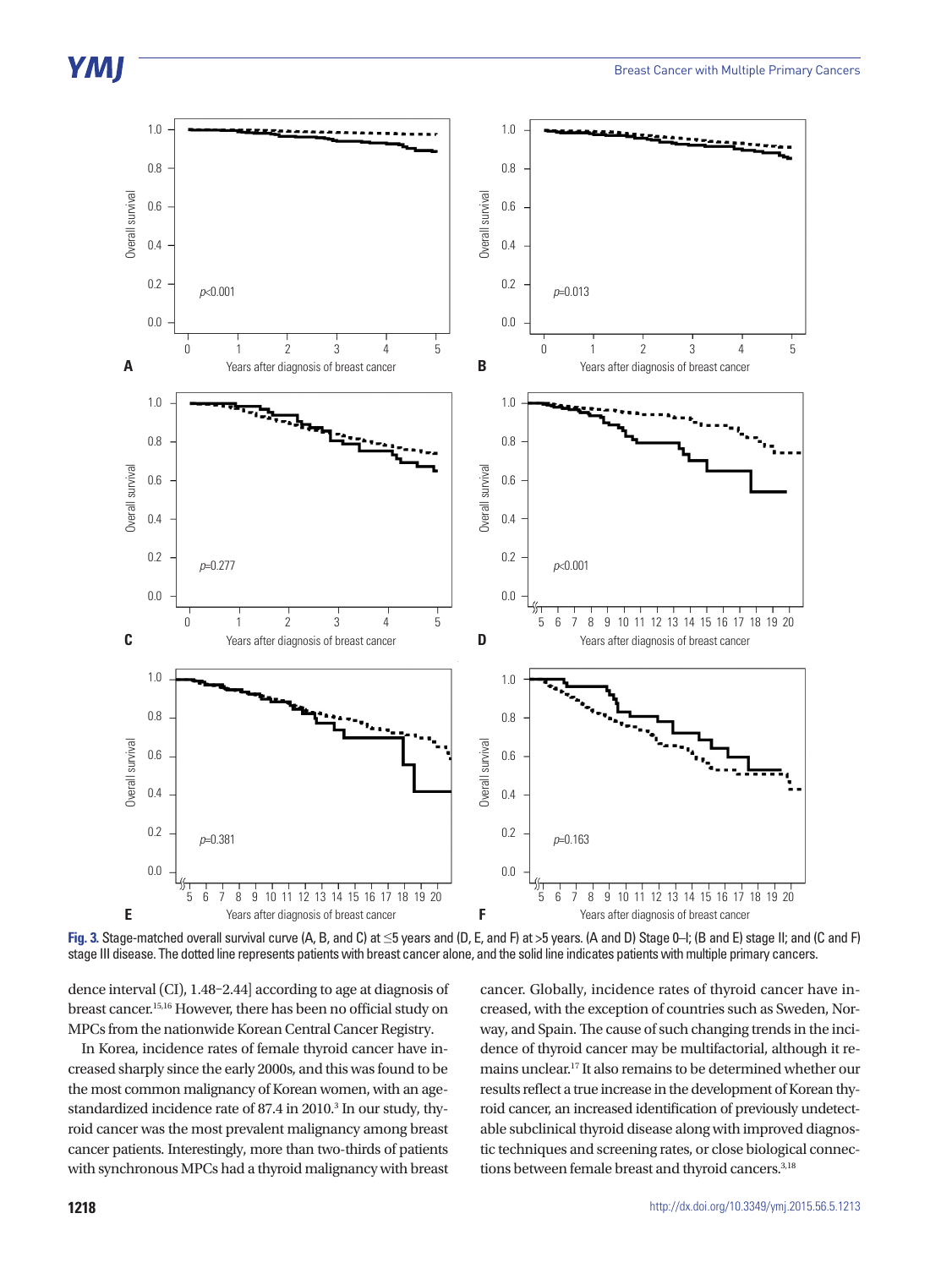

**Fig. 3.** Stage-matched overall survival curve (A, B, and C) at ≤5 years and (D, E, and F) at >5 years. (A and D) Stage 0–I; (B and E) stage II; and (C and F) stage III disease. The dotted line represents patients with breast cancer alone, and the solid line indicates patients with multiple primary cancers.

dence interval (CI), 1.48–2.44] according to age at diagnosis of breast cancer.15,16 However, there has been no official study on MPCs from the nationwide Korean Central Cancer Registry.

In Korea, incidence rates of female thyroid cancer have increased sharply since the early 2000s, and this was found to be the most common malignancy of Korean women, with an agestandardized incidence rate of 87.4 in 2010.<sup>3</sup> In our study, thyroid cancer was the most prevalent malignancy among breast cancer patients. Interestingly, more than two-thirds of patients with synchronous MPCs had a thyroid malignancy with breast

cancer. Globally, incidence rates of thyroid cancer have increased, with the exception of countries such as Sweden, Norway, and Spain. The cause of such changing trends in the incidence of thyroid cancer may be multifactorial, although it remains unclear.17 It also remains to be determined whether our results reflect a true increase in the development of Korean thyroid cancer, an increased identification of previously undetectable subclinical thyroid disease along with improved diagnostic techniques and screening rates, or close biological connections between female breast and thyroid cancers.<sup>3,18</sup>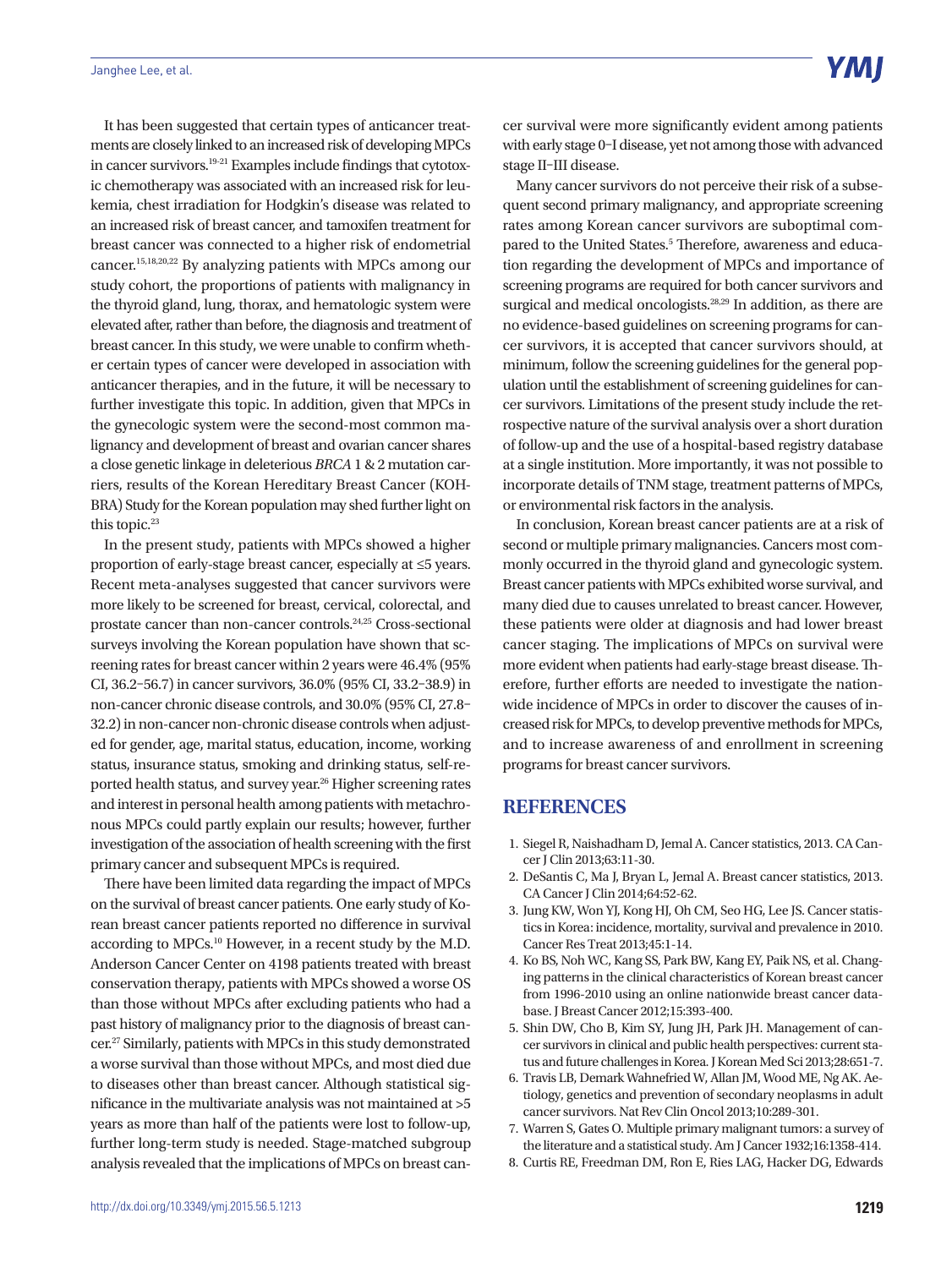It has been suggested that certain types of anticancer treatments are closely linked to an increased risk of developing MPCs in cancer survivors.19-21 Examples include findings that cytotoxic chemotherapy was associated with an increased risk for leukemia, chest irradiation for Hodgkin's disease was related to an increased risk of breast cancer, and tamoxifen treatment for breast cancer was connected to a higher risk of endometrial cancer.15,18,20,22 By analyzing patients with MPCs among our study cohort, the proportions of patients with malignancy in the thyroid gland, lung, thorax, and hematologic system were elevated after, rather than before, the diagnosis and treatment of breast cancer. In this study, we were unable to confirm whether certain types of cancer were developed in association with anticancer therapies, and in the future, it will be necessary to further investigate this topic. In addition, given that MPCs in the gynecologic system were the second-most common malignancy and development of breast and ovarian cancer shares a close genetic linkage in deleterious *BRCA* 1 & 2 mutation carriers, results of the Korean Hereditary Breast Cancer (KOH-BRA) Study for the Korean population may shed further light on this topic.<sup>23</sup>

In the present study, patients with MPCs showed a higher proportion of early-stage breast cancer, especially at ≤5 years. Recent meta-analyses suggested that cancer survivors were more likely to be screened for breast, cervical, colorectal, and prostate cancer than non-cancer controls.24,25 Cross-sectional surveys involving the Korean population have shown that screening rates for breast cancer within 2 years were 46.4% (95% CI, 36.2–56.7) in cancer survivors, 36.0% (95% CI, 33.2–38.9) in non-cancer chronic disease controls, and 30.0% (95% CI, 27.8– 32.2) in non-cancer non-chronic disease controls when adjusted for gender, age, marital status, education, income, working status, insurance status, smoking and drinking status, self-reported health status, and survey year.<sup>26</sup> Higher screening rates and interest in personal health among patients with metachronous MPCs could partly explain our results; however, further investigation of the association of health screening with the first primary cancer and subsequent MPCs is required.

There have been limited data regarding the impact of MPCs on the survival of breast cancer patients. One early study of Korean breast cancer patients reported no difference in survival according to MPCs.10 However, in a recent study by the M.D. Anderson Cancer Center on 4198 patients treated with breast conservation therapy, patients with MPCs showed a worse OS than those without MPCs after excluding patients who had a past history of malignancy prior to the diagnosis of breast cancer.<sup>27</sup> Similarly, patients with MPCs in this study demonstrated a worse survival than those without MPCs, and most died due to diseases other than breast cancer. Although statistical significance in the multivariate analysis was not maintained at >5 years as more than half of the patients were lost to follow-up, further long-term study is needed. Stage-matched subgroup analysis revealed that the implications of MPCs on breast cancer survival were more significantly evident among patients with early stage 0–I disease, yet not among those with advanced stage II–III disease.

Many cancer survivors do not perceive their risk of a subsequent second primary malignancy, and appropriate screening rates among Korean cancer survivors are suboptimal compared to the United States.<sup>5</sup> Therefore, awareness and education regarding the development of MPCs and importance of screening programs are required for both cancer survivors and surgical and medical oncologists.<sup>28,29</sup> In addition, as there are no evidence-based guidelines on screening programs for cancer survivors, it is accepted that cancer survivors should, at minimum, follow the screening guidelines for the general population until the establishment of screening guidelines for cancer survivors. Limitations of the present study include the retrospective nature of the survival analysis over a short duration of follow-up and the use of a hospital-based registry database at a single institution. More importantly, it was not possible to incorporate details of TNM stage, treatment patterns of MPCs, or environmental risk factors in the analysis.

In conclusion, Korean breast cancer patients are at a risk of second or multiple primary malignancies. Cancers most commonly occurred in the thyroid gland and gynecologic system. Breast cancer patients with MPCs exhibited worse survival, and many died due to causes unrelated to breast cancer. However, these patients were older at diagnosis and had lower breast cancer staging. The implications of MPCs on survival were more evident when patients had early-stage breast disease. Therefore, further efforts are needed to investigate the nationwide incidence of MPCs in order to discover the causes of increased risk for MPCs, to develop preventive methods for MPCs, and to increase awareness of and enrollment in screening programs for breast cancer survivors.

#### **REFERENCES**

- 1. Siegel R, Naishadham D, Jemal A. Cancer statistics, 2013. CA Cancer J Clin 2013;63:11-30.
- 2. DeSantis C, Ma J, Bryan L, Jemal A. Breast cancer statistics, 2013. CA Cancer J Clin 2014;64:52-62.
- 3. Jung KW, Won YJ, Kong HJ, Oh CM, Seo HG, Lee JS. Cancer statistics in Korea: incidence, mortality, survival and prevalence in 2010. Cancer Res Treat 2013;45:1-14.
- 4. Ko BS, Noh WC, Kang SS, Park BW, Kang EY, Paik NS, et al. Changing patterns in the clinical characteristics of Korean breast cancer from 1996-2010 using an online nationwide breast cancer database. J Breast Cancer 2012;15:393-400.
- 5. Shin DW, Cho B, Kim SY, Jung JH, Park JH. Management of cancer survivors in clinical and public health perspectives: current status and future challenges in Korea. J Korean Med Sci 2013;28:651-7.
- 6. Travis LB, Demark Wahnefried W, Allan JM, Wood ME, Ng AK. Aetiology, genetics and prevention of secondary neoplasms in adult cancer survivors. Nat Rev Clin Oncol 2013;10:289-301.
- 7. Warren S, Gates O. Multiple primary malignant tumors: a survey of the literature and a statistical study. Am J Cancer 1932;16:1358-414.
- 8. Curtis RE, Freedman DM, Ron E, Ries LAG, Hacker DG, Edwards